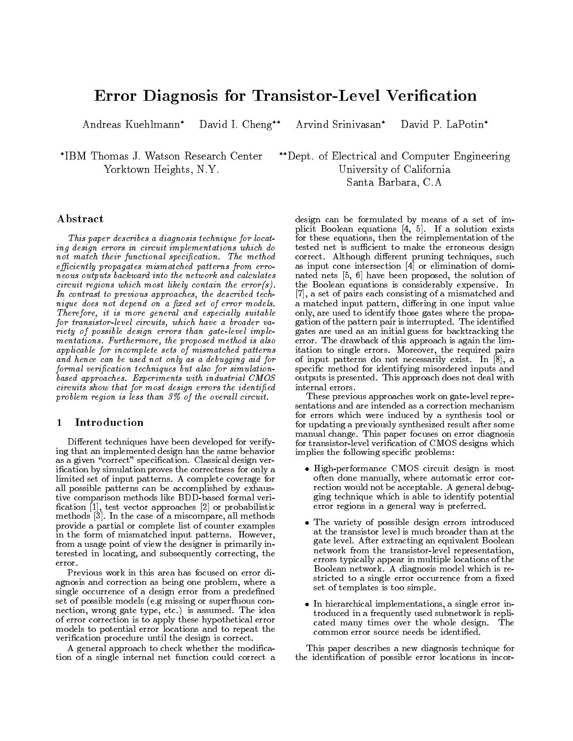# Error Diagnosis for Transistor-Level Verification

Andreas Kuehlmann\* David I. Cheng\*\* Arvind Srinivasan\* David P. LaPotin\*

 IBM Thomas J. Watson Research Center Yorktown Heights, N.Y.

Dept. of Electrical and Computer Engineering University of California santa Barbara, C.A.

## Abstract

This paper describes a diagnosis technique for locating design errors in circuit implementations which do not match their functional specification. The method efficiently propagates mismatched patterns from erroneous outputs backward into the network and calculates circuit regions which most likely contain the error(s). In contrast to previous approaches, the described technique does not depend on a fixed set of error models. Therefore, it is more general and especially suitable for transistor-level circuits, which have a broader variety of possible design errors than gate-level implementations. Furthermore, the proposed method is also applicable for incomplete sets of mismatched patterns and hence can be used not only as a debugging aid for formal verification techniques but also for simulationbased approaches. Experiments with industrial CMOS circuits show that for most design errors the identified problem region is less than  $3\%$  of the overall circuit.

#### **Introduction**  $\mathbf 1$

Different techniques have been developed for verifying that an implemented design has the same behavior as a given "correct" specification. Classical design verification by simulation proves the correctness for only a limited set of input patterns. A complete coverage for all possible patterns can be accomplished by exhaustive comparison methods like BDD-based formal veri fication  $[1]$ , test vector approaches  $[2]$  or probabilistic methods [3]. In the case of a miscompare, all methods provide a partial or complete list of counter examples in the form of mismatched input patterns. However, from a usage point of view the designer is primarily interested in locating, and subsequently correcting, the error.

Previous work in this area has focused on error diagnosis and correction as being one problem, where a single occurrence of a design error from a predefined set of possible models (e.g missing or superfluous connection, wrong gate type, etc.) is assumed. The idea of error correction is to apply these hypothetical error models to potential error locations and to repeat the verification procedure until the design is correct.

A general approach to check whether the modication of a single internal net function could correct a

design can be formulated by means of a set of implicit Boolean equations [4, 5]. If a solution exists for these equations, then the reimplementation of the tested net is sufficient to make the erroneous design correct. Although dierent pruning techniques, such as input cone intersection [4] or elimination of domi nated nets [5, 6] have been proposed, the solution of the Boolean equations is considerably expensive. In [7], a set of pairs each consisting of a mismatched and a matched input pattern, differing in one input value only, are used to identify those gates where the propagation of the pattern pair is interrupted. The identified gates are used as an initial guess for backtracking the error. The drawback of this approach is again the limitation to single errors. Moreover, the required pairs of input patterns do not necessarily exist. In [8], a specic method for identifying misordered inputs and outputs is presented. This approach does not deal with internal errors.

These previous approaches work on gate-level representations and are intended as a correction mechanism for errors which were induced by a synthesis tool or for updating a previously synthesized result after some manual change. This paper focuses on error diagnosis for transistor-level verification of CMOS designs which implies the following specic problems:

- High-performance CMOS circuit design is most often done manually, where automatic error correction would not be acceptable. A general debugging technique which is able to identify potential error regions in a general way is preferred.
- The variety of possible design errors introduced at the transistor level is much broader than at the gate level. After extracting an equivalent Boolean network from the transistor-level representation, errors typically appear in multiple locations of the Boolean network. A diagnosis model which is restricted to a single error occurrence from a fixed set of templates is too simple.
- In hierarchical implementations, a single error introduced in a frequently used subnetwork is replicated many times over the whole design. The common error source needs be identified.

This paper describes a new diagnosis technique for the identication of possible error locations in incor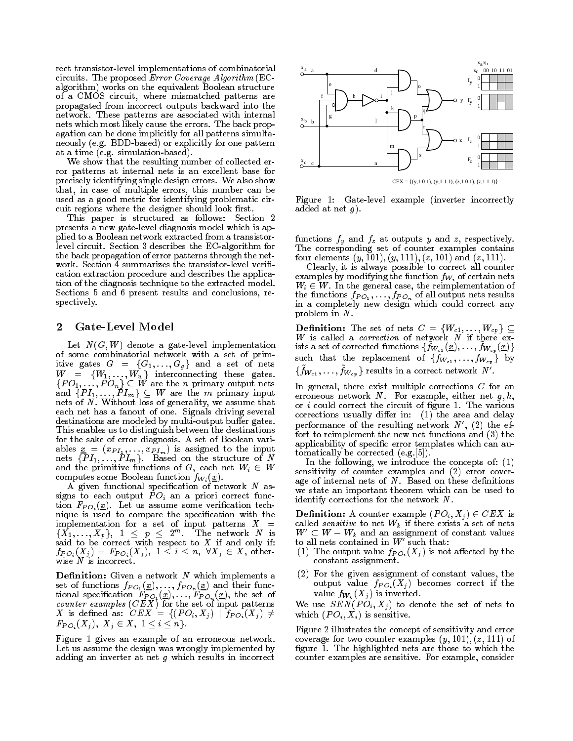rect transistor-level implementations of combinatorial circuits. The proposed Error Coverage Algorithm (EC algorithm) works on the equivalent Boolean structure of a CMOS circuit, where mismatched patterns are propagated from incorrect outputs backward into the network. These patterns are associated with internal nets which most likely cause the errors. The back propagation can be done implicitly for all patterns simultaneously (e.g. BDD-based) or explicitly for one pattern at a time (e.g. simulation-based).

We show that the resulting number of collected error patterns at internal nets is an excellent base for precisely identifying single design errors. We also show that, in case of multiple errors, this number can be used as a good metric for identifying problematic circuit regions where the designer should look first.

This paper is structured as follows: Section 2 presents a new gate-level diagnosis model which is applied to a Boolean network extracted from a transistorlevel circuit. Section 3 describes the EC-algorithm for the back propagation of error patterns through the net work. Section 4 summarizes the transistor-level verification extraction procedure and describes the application of the diagnosis technique to the extracted model. Sections 5 and 6 present results and conclusions, respectively.

### 2 Gate-Level Model

Let  $N(G, W)$  denote a gate-level implementation<br>of some combinatorial network with a set of primof some combinatorial network with a set of prima-  $\mathbb{R}^n$ itive gates G  $\sim$  it is the set of nets and a set of network and a set of network and a set of network and a set of network and a set of network and a set of network and a set of network and a set of network and a set of  $W$  interconnecting the function  $\mathbf{u}$  is stated. The function of the function  $\mathbf{u}$  $fPT \sim \overline{p}T$  of  $\overline{M}$  are the m primary input and  $\overline{P}$   $\overline{M'}$   $\overline{M'}$   $\overline{M'}$   $\overline{M'}$   $\overline{M'}$   $\overline{M'}$   $\overline{M'}$   $\overline{M'}$   $\overline{M'}$   $\overline{M'}$   $\overline{M'}$   $\overline{M'}$   $\overline{M'}$   $\overline{M'}$   $\overline{M'}$   $\overline{M'}$   $\overline{M'}$   $\overline{M'}$   $\overline{M'}$   $\overline{M'}$   $\overline{M'}$   $\overline{M'}$   $\overline{M'}$  nets of  $N$ . Without loss of generality, we assume that each net has a fanout of one. Signals driving several destinations are modeled by multi-output buffer gates. This enables us to distinguish between the destinations for the sake of error diagnosis. A set of Boolean variables  $\underline{\mathscr{L}} = (\mathscr{L}P_{11}, \dots, \mathscr{L}P_{1m})$  is assigned to the input nets from Injection and the structure of New York Based on the Structure of New York Based of New York Based o and the primitive functions of G, each net Wi 2 Wi 2 Wi 2 Wi computes some Boolean function  $f_{W_i}(\underline{x})$ .

A given functional specification of network  $N$  assigns to each output P Oi an a priori correct function  $F_{PO_i}(\underline{x})$ . Let us assume some verification tech-<br>nique is used to compare the specification with the nique is used to compare the specication with the  $\{ \vec{X_1}, \ldots, \vec{X_n} \}, \hspace{2mm} 1 \hspace{2mm} < \hspace{2mm} p \hspace{2mm} < \hspace{2mm} 2^m. \hspace{3mm} \text{The network} \hspace{2mm} N \hspace{2mm} \text{is} \hspace{2mm} N$ said to be correct with respect to X if and only if:  $\frac{1}{2}$   $\frac{1}{2}$   $\frac{1}{2}$   $\frac{1}{2}$   $\frac{1}{2}$   $\frac{1}{2}$   $\frac{1}{2}$   $\frac{1}{2}$   $\frac{1}{2}$   $\frac{1}{2}$   $\frac{1}{2}$   $\frac{1}{2}$   $\frac{1}{2}$   $\frac{1}{2}$   $\frac{1}{2}$   $\frac{1}{2}$   $\frac{1}{2}$   $\frac{1}{2}$   $\frac{1}{2}$   $\frac{1}{2}$   $\frac{1}{2}$   $\frac{1}{2}$  wise  $N$  is incorrect.

**Definition:** Given a network  $N$  which implements a set of functions  $f_{PO_1}(\underline{x}), \ldots, f_{PO_n}(\underline{x})$  and their func- $\mathbf{1}$  is specification for  $\mathbf{1}$   $\mathbf{0}$  (x),  $\mathbf{1}$   $\mathbf{1}$   $\mathbf{0}$   $\mathbf{1}$   $\mathbf{0}$   $\mathbf{1}$   $\mathbf{0}$   $\mathbf{1}$   $\mathbf{0}$   $\mathbf{1}$   $\mathbf{0}$   $\mathbf{1}$   $\mathbf{0}$   $\mathbf{1}$   $\mathbf{0}$   $\mathbf{1}$   $\mathbf{0}$   $\mathbf{1}$   $\mathbf{0$ counter examples (CEX) for the set of input patterns X is defined as:  $CEX = \{(PO_i, X_j) \mid f_{PO_i}(X_j) \neq$  $F_{PO_i}(X_j), X_j \in X, 1 \leq i \leq n$ .

Figure 1 gives an example of an erroneous network. Let us assume the design was wrongly implemented by adding an inverter at net  $g$  which results in incorrect



 $CEX = \{(y, 1 \ 0 \ 1), (y, 1 \ 1 \ 1), (z, 1 \ 0 \ 1), (z, 1 \ 1 \ 1)\}$ 

Figure 1: Gate-level example (inverter incorrectly added at net  $g$ ).

functions fy and fz at outputs <sup>y</sup> and z, respectively. The corresponding set of counter examples contains four elements  $(y, 101), (y, 111), (z, 101)$  and  $(z, 111)$ .

Clearly, it is always possible to correct all counter examples by modifying the function  $f_{W_i}$  of certain nets  $\mathbb{R}^n$  and the function of reinformation of the reinformation of the reinformation of the reinformation of the reinformation of the reinformation of the reinformation of the reinformation of the reinformation of the r the functions  $f_P \cup f_Q$  is  $f_P \cup f_Q$  on all output nets results in all output of all output  $f_P$ in a completely new design which could correct any problem in N.

W is called a *correction* of network  $\overline{N}$  if there exists a set of corrected functions  $\{\hat{f}_{W_{c1}}(\underline{x}), \ldots, \hat{f}_{W_{cp}}(\underline{x})\}$ such that the replacement of  $\{f_{W_{c1}}, \ldots, f_{W_{cp}}\}$  by  $\{f{W}_{c1}, \ldots, f{W}_{cp}\}$  results in a correct network  $N$  .

In general, there exist multiple corrections  $C$  for an erroneous network  $N$ . For example, either net  $g, h$ , or *i* could correct the circuit of figure 1. The various corrections usually differ in:  $(1)$  the area and delay performance of the resulting network  $N'$ , (2) the effort to reimplement the new net functions and (3) the applicability of specic error templates which can automatically be corrected (e.g.[5]).

In the following, we introduce the concepts of: (1) sensitivity of counter examples and (2) error cover age of internal nets of  $N$ . Based on these definitions we state an important theorem which can be used to identify corrections for the network N.

 $\mathcal{L}$  . A contract the counter example (P  $\mathcal{L}$  )  $\mathcal{L}$  )  $\mathcal{L}$  ,  $\mathcal{L}$  ,  $\mathcal{L}$  ,  $\mathcal{L}$  ,  $\mathcal{L}$  ,  $\mathcal{L}$  ,  $\mathcal{L}$  ,  $\mathcal{L}$  ,  $\mathcal{L}$  ,  $\mathcal{L}$  ,  $\mathcal{L}$  ,  $\mathcal{L}$  ,  $\mathcal{L}$  ,  $\mathcal{L}$  , called sensitive to net Wk if there exists a set of nets  $W_{\perp} \subset W - W_k$  and an assignment of constant values to all nets contained in  $W'$  such that:

- (1) The output value  $f_{PO_i}(X_i)$  is not affected by the constant assignment.
- (2) For the given assignment of constant values, the output value  $f_{PO_i}(X_j)$  becomes correct if the value  $f_{W_k}(X_j)$  is inverted.

where  $\omega = \frac{1}{2}$  ,  $\omega = \frac{1}{2}$  ,  $\omega = \frac{1}{2}$  , to denote the set of  $\omega = \frac{1}{2}$ which  $(PO_i, X_i)$  is sensitive.

Figure 2 illustrates the concept of sensitivity and error coverage for two counter examples  $(y, 101)$ ,  $(z, 111)$  of figure 1. The highlighted nets are those to which the counter examples are sensitive. For example, consider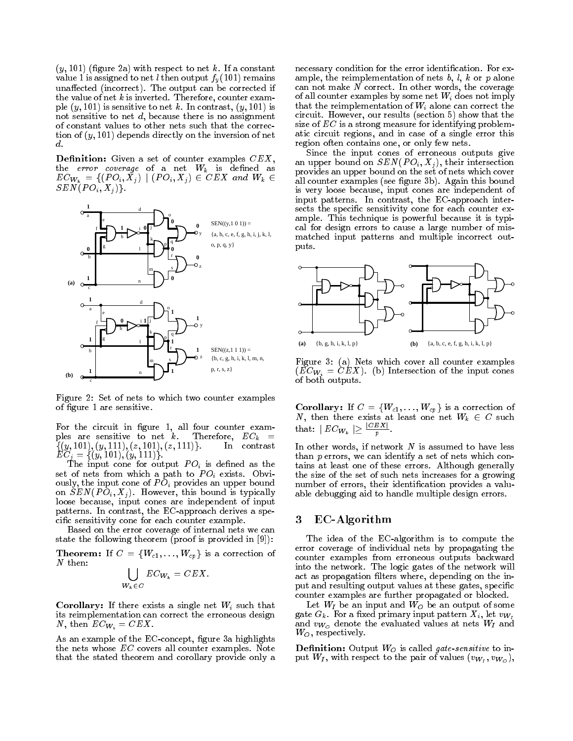$(y, 101)$  (figure 2a) with respect to net k. If a constant  $\cdots$  . Then output for the net line output for  $\frac{1}{2}$   $\frac{1}{0}$  (  $\cdots$  ) remains the main set unaffected (incorrect). The output can be corrected if the value of net  $k$  is inverted. Therefore, counter example  $(y, 101)$  is sensitive to net k. In contrast,  $(y, 101)$  is not sensitive to net  $d$ , because there is no assignment of constant values to other nets such that the correction of  $(y, 101)$  depends directly on the inversion of net d.

Definition: Given a set of counter examples  $CEX$ , the error coverage of a net Wk is dened as  $EC_{W_k} = \{ (PO_i, X_j) \mid (PO_i, X_j) \in CEX \text{ and } W_k \in$  $\sim$   $\sim$   $\sim$   $\sim$   $\sim$   $\sim$   $\sim$   $\sim$ 



Figure 2: Set of nets to which two counter examples of figure 1 are sensitive.

For the circuit in figure 1, all four counter examples are sensitive to net k. Therefore, ECk <sup>=</sup>  $\{(y, 101), (y, 111), (z, 101), (z, 111)\}.$  In contrast  $=$   $=$   $($   $($   $,$   $)$   $=$   $($   $,$   $)$   $=$   $($   $)$   $($   $,$   $)$   $=$   $($   $)$   $($   $)$   $($   $)$   $($   $)$   $($   $)$   $($   $)$   $($   $)$   $($   $)$   $($   $)$   $($   $)$   $($   $)$   $($   $)$   $($   $)$   $($   $)$   $($   $)$   $($   $)$   $($   $)$   $($   $)$   $($   $)$ 

The input cone for our put  $\mathbb{P}$  of  $\mathbb{P}$  is defined as the theory set of nets from which a path to P Oi exists. Obviously, the input cone of P Oi provides an upper bound on Sen(P oi;  $\mathcal{S} = \{x_i\}_{i=1}^N$  , the bound is the bound is typically in the sense of  $\mathcal{S} = \{x_i\}_{i=1}^N$ loose because, input cones are independent of input patterns. In contrast, the EC-approach derives a specic sensitivity cone for each counter example.

Based on the error coverage of internal nets we can state the following theorem (proof is provided in [9]):

 $T$  . If  $T$  is a correction of  $\mathbb{R}^n$  is a correction of  $\mathbb{R}^n$  is a correction of  $\mathbb{R}^n$  $N$  then:

$$
\bigcup_{W_k \in C} EC_{W_k} = CEX.
$$

 $\mathcal{L}$  is the corollar distribution and  $\mathcal{L}$  is the single such that the  $\mathcal{L}$ its reimplementation can correct the erroneous design N, then  $EC_{W_i} = CEX$ .

As an example of the EC-concept, figure 3a highlights the nets whose EC covers all counter examples. Note that the stated theorem and corollary provide only a necessary condition for the error identification. For example, the reimplementation of nets  $b, l, k$  or  $p$  alone can not make  $N$  correct. In other words, the coverage of all counter examples by some net Wi does not imply that the reimplementation of Wi alone can correct the circuit. However, our results (section 5) show that the size of  $EC$  is a strong measure for identifying problematic circuit regions, and in case of a single error this region often contains one, or only few nets.

Since the input cones of erroneous outputs give and the SEN(P Oi) is the section of  $\mathbb{R}^n$  and intersection on SEN(P  $\mathbb{R}^n$  ), their intersection of  $\mathbb{R}^n$ provides an upper bound on the set of nets which cover all counter examples (see figure 3b). Again this bound is very loose because, input cones are independent of input patterns. In contrast, the EC-approach intersects the specific sensitivity cone for each counter example. This technique is powerful because it is typical for design errors to cause a large number of mismatched input patterns and multiple incorrect outputs.



Figure 3: (a) Nets which cover all counter examples  $(EC_{W_i} = \tilde{C}EX)$ . (b) Intersection of the input cones of both outputs.

 $\mathcal{L}$  . If  $\mathcal{L}$  is a correction of  $\mathcal{L}$  is a correction of  $\mathcal{L}$ N, then there exists at least one net Wk <sup>2</sup> <sup>C</sup> such that:  $|EC_{W_k}| \geq \frac{|\sum E_{i,j}|}{p}$ .

In other words, if network  $N$  is assumed to have less than  $p$  errors, we can identify a set of nets which contains at least one of these errors. Although generally the size of the set of such nets increases for a growing number of errors, their identification provides a valuable debugging aid to handle multiple design errors.

### EC-Algorithm 3

The idea of the EC-algorithm is to compute the error coverage of individual nets by propagating the counter examples from erroneous outputs backward into the network. The logic gates of the network will act as propagation filters where, depending on the input and resulting output values at these gates, specific counter examples are further propagated or blocked.

Let WI be an input and WO be an output of some gate  $G_k$ . For a fixed primary input pattern  $X_i$ , let  $v_{W_I}$ and  $v_{W_O}$  denote the evaluated values at nets  $W_I$  and  $W_O$ , respectively.

Denition: Output WO is called gate-sensitive to input with the put of values of values (vWI) and values (vWI) and values (vWI) and values (vWI) and values (vWI)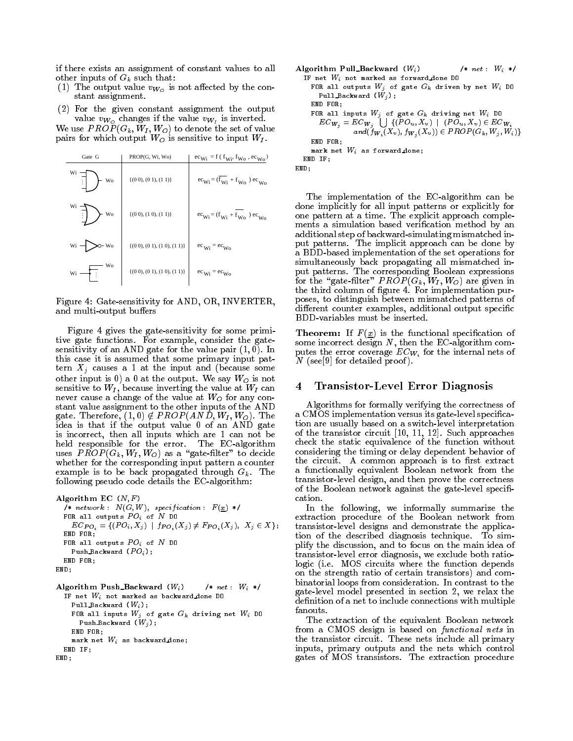if there exists an assignment of constant values to all other inputs of Gk such that:

- (1) The output value  $v_{W_O}$  is not affected by the constant assignment.
- (2) For the given constant assignment the output was in the value value value value value value value value value value value value value value value value val

 $W$  is the set of value the set of value to denote the set of values of values of values of values of values of values of values of values of values of values of values of values of values of values of values of values of pairs for which output WO is sensitive to input WI .

| Gate G               | PROP(G, Wi, Wo)                       | $ec_{Wi} = f(f_{Wi}, f_{Wo}, ec_{Wo})$  |
|----------------------|---------------------------------------|-----------------------------------------|
| Wi<br>Wo<br>$\vdots$ | $\{(0\ 0), (0\ 1), (1\ 1)\}\$         | $ec_{Wi} = (f_{Wi} + f_{Wo})$ $ec_{Wo}$ |
| Wi<br>Wo             | $\{(0\ 0), (1\ 0), (1\ 1)\}\$         | $ec_{Wi} = (f_{Wi} + f_{Wo})$ $ec_{Wo}$ |
| Wi<br>· Wo           | $\{(0\ 0), (0\ 1), (1\ 0), (1\ 1)\}\$ | $ec_{Wi} = ec_{Wo}$                     |
| Wо<br>Wi             | $\{(0\ 0), (0\ 1), (1\ 0), (1\ 1)\}\$ | $ec_{\text{Wi}} = ec_{\text{Wo}}$       |

Figure 4: Gate-sensitivity for AND, OR, INVERTER, and multi-output buffers

Figure 4 gives the gate-sensitivity for some primitive gate functions. For example, consider the gatesensitivity of an AND gate for the value pair  $(1, 0)$ . In this case it is assumed that some primary input pattern Xj causes a 1 at the input and (because some other is 0) and 1) a 0,000 and 1,000 and 1,000 and 1,000 and 1,000 and 1,000 and 1,000 and 1,000 and 1,000 and sensitive to WI , because inverting the value at WI can never cause a change of the value at WO for any constant value assignment to the other inputs of the AND gate. Therefore, (1; 0) 62 P ROP (112 P  $\rightarrow$  1)  $\cdot$  Wi ; P ROP (12) idea is that if the output value 0 of an AND gate is incorrect, then all inputs which are 1 can not be held responsible for the error. The EC-algorithm  $\mathbb{R}$  . The results of  $\mathbb{R}$  , we define the decided to decide the second to decide the second to decide the second to decide the second to decide the second to decide the second to decide the second to decide the s whether for the corresponding input pattern a counter example is to be back propagated through  $G_k$ . The following pseudo code details the EC-algorithm:

```
Algorithm EC (N, F)\mathcal{L} , network : Africation : F (x) \mathcal{L} is the specific interest in F (x) \mathcal{L}run all outputs \Gamma \mathcal{O}_i of N DO
   EC_{PO_i} = \{ (PO_i, X_j) \mid f_{PO_i}(X_j) \neq F_{PO_i}(X_j), X_j \in X \};END FOR;run all outputs \Gamma \mathcal{O}_i of N DO ^*rush Backward (\Gamma \cup_i);
END FOR;END;Algorithm Push_Backward (W_i) /* net : W_i */
IF net Wi not marked as backward done DO
   Pull Backward (Wi);
   FOR all inputs W_j of gate G_k driving net W_i DO
     Push Dackward (W), ;
  END FOR;
```

```
mark net W_i as backward done;
```

```
END IF;END;
```

```
Algorithm Pull_Backward (W_i) /* net : W_i */
IF net Wi not marked as forward done DO
  FOR all outputs W<sub>j</sub> of gate G_k driven by net W<sub>i</sub> DO
     Pull Dackward (W), ;
  END FOR;FOR all inputs W_j of gate G_k driving net W_i DO
    EC_{W_j} = EC_{W_j} \bigcup \{(PO_u, X_v) \mid (PO_u, X_v) \in EC_{W_i}\big){gcd(W_i, X_v), f_{W_j}(X_v)) \in PROP(G_k, W_j, W_i)}END FOR;mark net W_i as forward done;
END IF;END;
```
The implementation of the EC-algorithm can be done implicitly for all input patterns or explicitly for one pattern at a time. The explicit approach comple ments a simulation based verification method by an additional step of backward-simulating mismatched input patterns. The implicit approach can be done by a BDD-based implementation of the set operations for simultaneously back propagating all mismatched input patterns. The corresponding Boolean expressions  $\Box$  the  $\Box$  the  $\Box$   $\Box$   $\Box$   $\Box$  are given in  $\Box$ the third column of figure 4. For implementation purposes, to distinguish between mismatched patterns of different counter examples, additional output specific BDD-variables must be inserted.

**Theorem:** If  $F(x)$  is the functional specification of some incorrect design  $N$ , then the EC-algorithm computes the error coverage  $EC_{W_i}$  for the internal nets of N (see[9] for detailed proof).

#### 4 Transistor-Level Error Diagnosis 4

Algorithms for formally verifying the correctness of a CMOS implementation versus its gate-level specication are usually based on a switch-level interpretation of the transistor circuit [10, 11, 12]. Such approaches check the static equivalence of the function without considering the timing or delay dependent behavior of the circuit. A common approach is to first extract a functionally equivalent Boolean network from the transistor-level design, and then prove the correctness of the Boolean network against the gate-level speci cation.

In the following, we informally summarize the following, we informally summarize the following, we informally summarize the summarize the summarized summarized summarized summarized summarized summarized summarized summari extraction procedure of the Boolean network from transistor-level designs and demonstrate the application of the described diagnosis technique. To simplify the discussion, and to focus on the main idea of transistor-level error diagnosis, we exclude both ratiologic (i.e. MOS circuits where the function depends on the strength ratio of certain transistors) and combinatorial loops from consideration. In contrast to the gate-level model presented in section 2, we relax the definition of a net to include connections with multiple fanouts.

The extraction of the equivalent Boolean network from a CMOS design is based on functional nets in the transistor circuit. These nets include all primary inputs, primary outputs and the nets which control gates of MOS transistors. The extraction procedure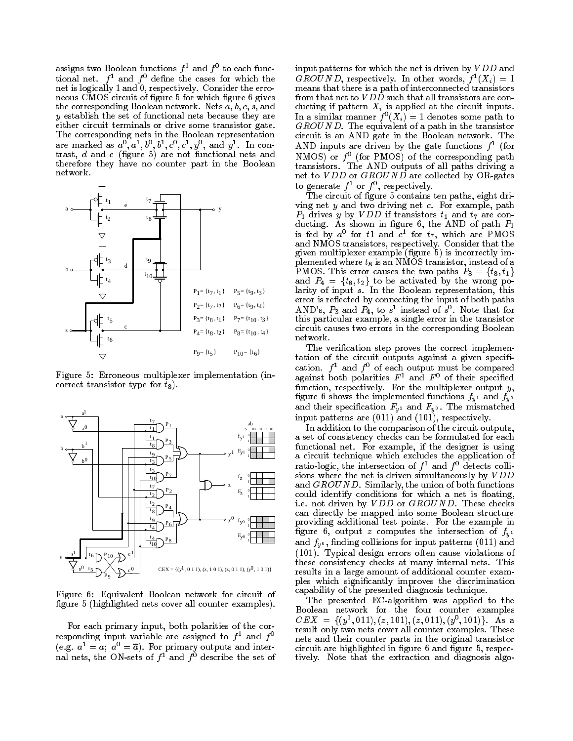assigns two Boolean functions  $f^1$  and  $f^0$  to each functional net.  $f^1$  and  $f^0$  define the cases for which the net is logically 1 and 0, respectively. Consider the error of the error of the error of the error of the error neous CMOS circuit of figure 5 for which figure 6 gives the corresponding Boolean network. Nets  $a, b, c, s$ , and y establish the set of functional nets because they are either circuit terminals or drive some transistor gate. are marked as  $a^0$ ,  $a^1$ ,  $b^0$ ,  $b^1$ ,  $c^0$ ,  $c^1$ ,  $y^0$ , and  $y^1$ . In contrast, d and e (d) are not functional nets and functional nets and  $\alpha$ therefore they have no counter part in the Boolean network.



Figure 5: Erroneous multiplexer implementation (incorrect transistor type for  $t_8$ ).



Figure 6: Equivalent Boolean network for circuit of figure 5 (highlighted nets cover all counter examples).

For each primary input, both polarities of the corresponding input variable are assigned to  $f<sup>1</sup>$  and  $f<sup>0</sup>$ (e.g.  $a^{\scriptscriptstyle -}=a;\ a^{\scriptscriptstyle -}=a$ ). For primary outputs and inter- $\max$  in the  $\max$  of  $\sum$  and  $\sum$  describe the set of input patterns for which the net is driven by  $VDD$  and GROUND, respectively. In other words,  $f^-(\Lambda_i) = 1$ means that there is a path of interconnected transistors from that net to  $VDD$  such that all transistors are conducting if pattern is a pattern Xi is a pattern in the circuit inputs. It is a circuit in put set of the circuit in In a similar manner  $f^{\dagger}(\bm{\Lambda}_{i}) = 1$  denotes some path to  $GROUND$ . The equivalent of a path in the transistor circuit is an AND gate in the Boolean network. The AND inputs are driven by the gate functions  $f^{\dagger}$  (for NMOS) or  $\bar{I}^-$  (for PMOS) of the corresponding path transistors. The AND outputs of all paths driving a net to V DD or GROUND are collected by OR-gates to generate  $f$  or  $f$  , respectively.

The circuit of figure 5 contains ten paths, eight driving net  $y$  and two driving net  $c$ . For example, path  $P_1$  drives y by VDD if transistors  $t_1$  and  $t_7$  are conducting. As shown in figure 6, the AND of path  $P_1$ is fed by  $a$  for  $t_1$  and  $c$  for  $t_7$ , which are PMOS and NMOS transistors, respectively. Consider that the given multiplexer example (figure 5) is incorrectly implemented where  $t_8$  is an NMOS transistor, instead of a PMOS. This error causes the two paths  $P_3 = \{t_8, t_1\}$ and P4 <sup>=</sup> ft8; t2g to be activated by the wrong polarity of input s. In the Boolean representation, this error is reflected by connecting the input of both paths AND's,  $P_3$  and  $P_4$ , to  $s^1$  instead of  $s^0$ . Note that for this particular example, a single error in the transistor circuit causes two errors in the corresponding Boolean network.

The verification step proves the correct implementation of the circuit outputs against a given specification. *I* and *I* or against both polarities  $F^1$  and  $F^0$  of their specified function, respectively. For the multiplexer output y, figure 6 shows the implemented functions  $f_{\nu}$ <sup>1</sup> and  $f_{\nu}$ <sup>0</sup> and their specification  $F_y$ <sup>1</sup> and  $F_y$ <sup>0</sup>. The mismatched input patterns are (011) and (101), respectively.

In addition to the comparison of the circuit outputs, a set of consistency checks can be formulated for each functional net. For example, if the designer is using a circuit technique which excludes the application of ratio-logic, the intersection of  $f^1$  and  $f^0$  detects collisions where the net is driven simultaneously by  $VDD$ and GROUND. Similarly, the union of both functions could identify conditions for which a net is floating, i.e. not driven by VDD or GROUND. These checks can directly be mapped into some Boolean structure providing additional test points. For the example in figure 6, output z computes the intersection of  $f_{y^1}$ and  $f_{\nu}$ <sup>o</sup>, finding collisions for input patterns (011) and (101). Typical design errors often cause violations of these consistency checks at many internal nets. This results in a large amount of additional counter examples which signicantly improves the discrimination capability of the presented diagnosis technique.

The presented EC-algorithm was applied to the Boolean network for the four counter examples  $CEM = \{(\bar{y}^2, 011), (\bar{z}, 101), (\bar{z}, 011), (\bar{y}^2, 101)\}\$ . As a result only two nets cover all counter examples. These nets and their counter parts in the original transistor circuit are highlighted in figure 6 and figure 5, respectively. Note that the extraction and diagnosis algo-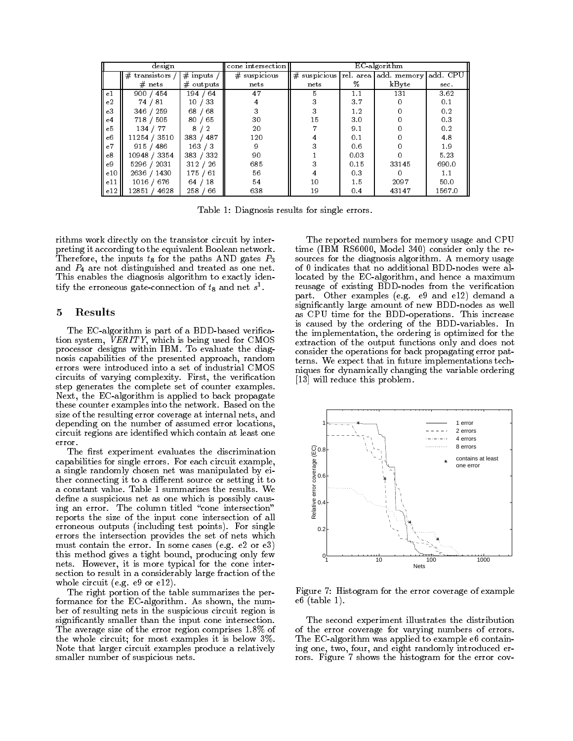| design<br>cone intersection |                    |                   | EC algorithm   |      |      |                                  |          |
|-----------------------------|--------------------|-------------------|----------------|------|------|----------------------------------|----------|
|                             | transistors /<br># | # inputs $\prime$ | $#$ suspicious | #    |      | suspicious rel. area add. memory | add. CPU |
|                             | $#$ nets           | $\#$ outputs      | nets           | nets | %    | kByte                            | sec.     |
| e1                          | 900 / 454          | 194<br>64         | 47             | 5.   | 1.1  | 131                              | 3.62     |
| e2                          | 74 / 81            | 33<br>10          | 4              |      | 3.7  |                                  | 0.1      |
| e3                          | 346 / 259          | 68<br>68          |                |      | 1.2  |                                  | 0.2      |
| e4                          | 718 / 505          | 80<br>65          | 30             | 15   | 3.0  |                                  | 0.3      |
| e <sub>5</sub>              | 134 / 77           | 8                 | 20             |      | 9.1  |                                  | 0.2      |
| e6                          | 11254 / 3510       | 487<br>383/       | 120            |      | 0.1  |                                  | 4.8      |
| e7                          | 915 / 486          | 163/3             | 9              |      | 0.6  |                                  | 1.9      |
| e8                          | 10948 / 3354       | 383 / 332         | 90             |      | 0.03 |                                  | 5.23     |
| e <sub>9</sub>              | 5296 / 2031        | 312 / 26          | 685            |      | 0.15 | 33145                            | 690.0    |
| e10                         | 2636 / 1430        | 175<br>61         | 56             |      | 0.3  |                                  | 1.1      |
| e11                         | 1016 / 676         | 64<br>18          | 54             | 10   | 1.5  | 2097                             | 50.0     |
| e12                         | 12851<br>4628      | 66<br>258         | 638            | 19   | 0.4  | 43147                            | 1567.0   |

Table 1: Diagnosis results for single errors.

rithms work directly on the transistor circuit by interpreting it according to the equivalent Boolean network. Therefore, the inputs  $t_8$  for the paths AND gates  $P_3$ and  $P_4$  are not distinguished and treated as one net. This enables the diagnosis algorithm to exactly identify the erroneous gate-connection of  $t_{8}$  and net  $s^{-}$ .

### 5 Results

The EC-algorithm is part of a BDD-based verication system, VERITY, which is being used for CMOS processor designs within IBM. To evaluate the diagnosis capabilities of the presented approach, random errors were introduced into a set of industrial CMOS circuits of varying complexity. First, the verication step generates the complete set of counter examples. Next, the EC-algorithm is applied to back propagate these counter examples into the network. Based on the size of the resulting error coverage at internal nets, and depending on the number of assumed error locations, circuit regions are identied which contain at least one error.

The first experiment evaluates the discrimination capabilities for single errors. For each circuit example, a single randomly chosen net was manipulated by either connecting it to a different source or setting it to a constant value. Table 1 summarizes the results. We define a suspicious net as one which is possibly causing an error. The column titled "cone intersection" reports the size of the input cone intersection of all erroneous outputs (including test points). For single errors the intersection provides the set of nets which must contain the error. In some cases (e.g. e2 or e3) this method gives a tight bound, producing only few nets. However, it is more typical for the cone intersection to result in a considerably large fraction of the whole circuit (e.g. e9 or e12).

The right portion of the table summarizes the performance for the EC-algorithm. As shown, the num ber of resulting nets in the suspicious circuit region is signicantly smaller than the input cone intersection. The average size of the error region comprises 1.8% of the whole circuit; for most examples it is below 3%. Note that larger circuit examples produce a relatively smaller number of suspicious nets.

The reported numbers for memory usage and CPU time (IBM RS6000, Model 340) consider only the resources for the diagnosis algorithm. A memory usage of 0 indicates that no additional BDD-nodes were allocated by the EC-algorithm, and hence a maximum reusage of existing BDD-nodes from the verification part. Other examples (e.g. e9 and e12) demand a signicantly large amount of new BDD-nodes as well as CPU time for the BDD-operations. This increase is caused by the ordering of the BDD-variables. In the implementation, the ordering is optimized for the extraction of the output functions only and does not consider the operations for back propagating error patterns. We expect that in future implementations techniques for dynamically changing the variable ordering [13] will reduce this problem.



Figure 7: Histogram for the error coverage of example e6 (table 1).

The second experiment illustrates the distribution of the error coverage for varying numbers of errors. The EC-algorithm was applied to example e6 containing one, two, four, and eight randomly introduced errors. Figure 7 shows the histogram for the error cov